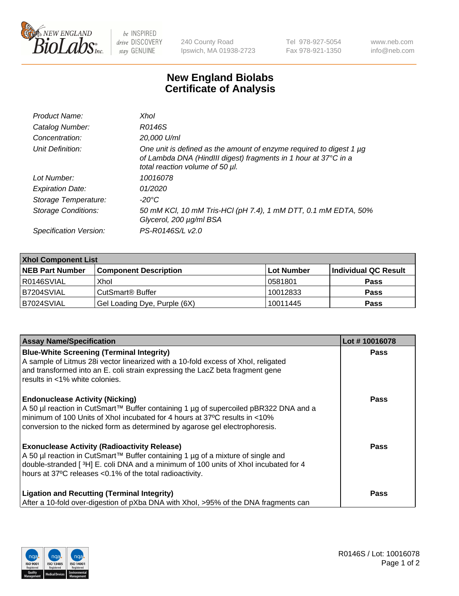

 $be$  INSPIRED drive DISCOVERY stay GENUINE

240 County Road Ipswich, MA 01938-2723 Tel 978-927-5054 Fax 978-921-1350 www.neb.com info@neb.com

## **New England Biolabs Certificate of Analysis**

| Product Name:              | Xhol                                                                                                                                                                      |
|----------------------------|---------------------------------------------------------------------------------------------------------------------------------------------------------------------------|
| Catalog Number:            | R0146S                                                                                                                                                                    |
| Concentration:             | 20,000 U/ml                                                                                                                                                               |
| Unit Definition:           | One unit is defined as the amount of enzyme required to digest 1 µg<br>of Lambda DNA (HindIII digest) fragments in 1 hour at 37°C in a<br>total reaction volume of 50 µl. |
| Lot Number:                | 10016078                                                                                                                                                                  |
| <b>Expiration Date:</b>    | 01/2020                                                                                                                                                                   |
| Storage Temperature:       | -20°C                                                                                                                                                                     |
| <b>Storage Conditions:</b> | 50 mM KCl, 10 mM Tris-HCl (pH 7.4), 1 mM DTT, 0.1 mM EDTA, 50%<br>Glycerol, 200 µg/ml BSA                                                                                 |
| Specification Version:     | PS-R0146S/L v2.0                                                                                                                                                          |

| <b>Xhol Component List</b> |                              |             |                      |  |  |
|----------------------------|------------------------------|-------------|----------------------|--|--|
| <b>NEB Part Number</b>     | <b>Component Description</b> | ∣Lot Number | Individual QC Result |  |  |
| R0146SVIAL                 | Xhol                         | 10581801    | <b>Pass</b>          |  |  |
| IB7204SVIAL                | CutSmart® Buffer             | 10012833    | <b>Pass</b>          |  |  |
| B7024SVIAL                 | Gel Loading Dye, Purple (6X) | 10011445    | <b>Pass</b>          |  |  |

| <b>Assay Name/Specification</b>                                                                                                                                                                                                                                                             | Lot #10016078 |
|---------------------------------------------------------------------------------------------------------------------------------------------------------------------------------------------------------------------------------------------------------------------------------------------|---------------|
| <b>Blue-White Screening (Terminal Integrity)</b><br>A sample of Litmus 28i vector linearized with a 10-fold excess of Xhol, religated                                                                                                                                                       | <b>Pass</b>   |
| and transformed into an E. coli strain expressing the LacZ beta fragment gene<br>results in <1% white colonies.                                                                                                                                                                             |               |
| <b>Endonuclease Activity (Nicking)</b><br>A 50 µl reaction in CutSmart™ Buffer containing 1 µg of supercoiled pBR322 DNA and a<br>minimum of 100 Units of Xhol incubated for 4 hours at 37°C results in <10%<br>conversion to the nicked form as determined by agarose gel electrophoresis. | <b>Pass</b>   |
| <b>Exonuclease Activity (Radioactivity Release)</b><br>A 50 µl reaction in CutSmart™ Buffer containing 1 µg of a mixture of single and<br>double-stranded [3H] E. coli DNA and a minimum of 100 units of Xhol incubated for 4<br>hours at 37°C releases <0.1% of the total radioactivity.   | <b>Pass</b>   |
| <b>Ligation and Recutting (Terminal Integrity)</b><br>After a 10-fold over-digestion of pXba DNA with Xhol, >95% of the DNA fragments can                                                                                                                                                   | Pass          |